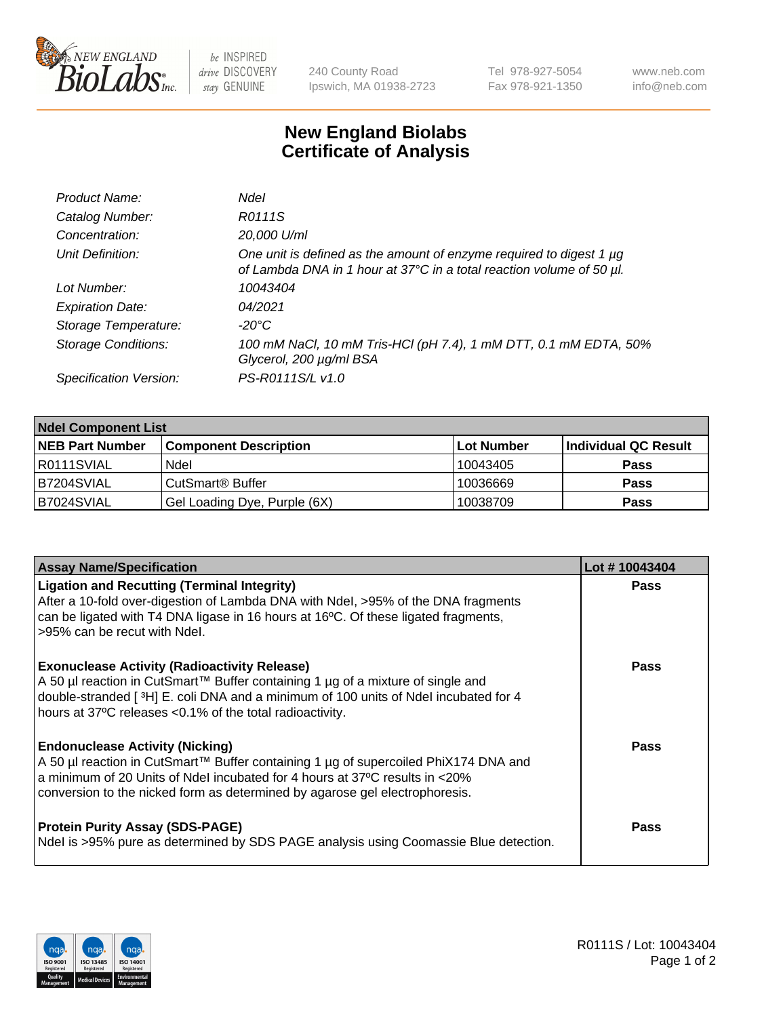

be INSPIRED drive DISCOVERY stay GENUINE

240 County Road Ipswich, MA 01938-2723 Tel 978-927-5054 Fax 978-921-1350 www.neb.com info@neb.com

## **New England Biolabs Certificate of Analysis**

| Product Name:              | <b>Ndel</b>                                                                                                                                 |
|----------------------------|---------------------------------------------------------------------------------------------------------------------------------------------|
| Catalog Number:            | R0111S                                                                                                                                      |
| Concentration:             | 20,000 U/ml                                                                                                                                 |
| Unit Definition:           | One unit is defined as the amount of enzyme required to digest 1 µg<br>of Lambda DNA in 1 hour at 37°C in a total reaction volume of 50 µl. |
| Lot Number:                | 10043404                                                                                                                                    |
| <b>Expiration Date:</b>    | 04/2021                                                                                                                                     |
| Storage Temperature:       | -20°C                                                                                                                                       |
| <b>Storage Conditions:</b> | 100 mM NaCl, 10 mM Tris-HCl (pH 7.4), 1 mM DTT, 0.1 mM EDTA, 50%<br>Glycerol, 200 µg/ml BSA                                                 |
| Specification Version:     | PS-R0111S/L v1.0                                                                                                                            |

| <b>Ndel Component List</b> |                              |                   |                      |  |  |
|----------------------------|------------------------------|-------------------|----------------------|--|--|
| <b>NEB Part Number</b>     | <b>Component Description</b> | <b>Lot Number</b> | Individual QC Result |  |  |
| R0111SVIAL                 | Ndel                         | 10043405          | <b>Pass</b>          |  |  |
| B7204SVIAL                 | CutSmart <sup>®</sup> Buffer | 10036669          | <b>Pass</b>          |  |  |
| B7024SVIAL                 | Gel Loading Dye, Purple (6X) | 10038709          | <b>Pass</b>          |  |  |

| <b>Assay Name/Specification</b>                                                                                                                                                                                                                                                             | Lot #10043404 |
|---------------------------------------------------------------------------------------------------------------------------------------------------------------------------------------------------------------------------------------------------------------------------------------------|---------------|
| <b>Ligation and Recutting (Terminal Integrity)</b><br>After a 10-fold over-digestion of Lambda DNA with Ndel, >95% of the DNA fragments<br>can be ligated with T4 DNA ligase in 16 hours at 16°C. Of these ligated fragments,<br>>95% can be recut with Ndel.                               | <b>Pass</b>   |
| <b>Exonuclease Activity (Radioactivity Release)</b><br>A 50 µl reaction in CutSmart™ Buffer containing 1 µg of a mixture of single and<br>double-stranded [3H] E. coli DNA and a minimum of 100 units of Ndel incubated for 4<br>hours at 37°C releases <0.1% of the total radioactivity.   | <b>Pass</b>   |
| <b>Endonuclease Activity (Nicking)</b><br>A 50 µl reaction in CutSmart™ Buffer containing 1 µg of supercoiled PhiX174 DNA and<br>a minimum of 20 Units of Ndel incubated for 4 hours at 37°C results in <20%<br>conversion to the nicked form as determined by agarose gel electrophoresis. | <b>Pass</b>   |
| <b>Protein Purity Assay (SDS-PAGE)</b><br>Ndel is >95% pure as determined by SDS PAGE analysis using Coomassie Blue detection.                                                                                                                                                              | <b>Pass</b>   |